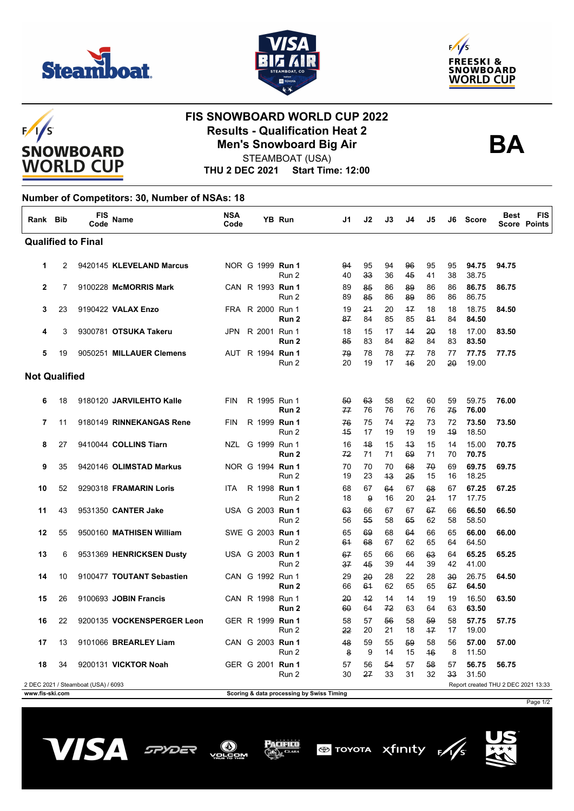





## $F/I/S$ **SNOWBOARD WORLD CUP**

## **FIS SNOWBOARD WORLD CUP 2022 Results - Qualification Heat 2 Men's Snowboard Big Air**



STEAMBOAT (USA)

**THU 2 DEC 2021 Start Time: 12:00**

## **Number of Competitors: 30, Number of NSAs: 18**

| Rank Bib                  |    | FIS<br>Code                         | <b>Name</b>                | <b>NSA</b><br>Code |                         | <b>YB Run</b>                             | J1       | J2         | J3       | J4         | J5       | J6       | <b>Score</b>                        | <b>Best</b> | FIS<br><b>Score Points</b> |
|---------------------------|----|-------------------------------------|----------------------------|--------------------|-------------------------|-------------------------------------------|----------|------------|----------|------------|----------|----------|-------------------------------------|-------------|----------------------------|
| <b>Qualified to Final</b> |    |                                     |                            |                    |                         |                                           |          |            |          |            |          |          |                                     |             |                            |
| 1                         | 2  |                                     | 9420145 KLEVELAND Marcus   |                    | NOR G 1999 Run 1        | Run 2                                     | 94<br>40 | 95<br>33   | 94<br>36 | 96<br>45   | 95<br>41 | 95<br>38 | 94.75<br>38.75                      | 94.75       |                            |
| $\mathbf{2}$              | 7  |                                     | 9100228 McMORRIS Mark      |                    | CAN R 1993 Run 1        | Run 2                                     | 89<br>89 | 85<br>85   | 86<br>86 | 89<br>89   | 86<br>86 | 86<br>86 | 86.75<br>86.75                      | 86.75       |                            |
| 3                         | 23 |                                     | 9190422 VALAX Enzo         |                    | FRA R 2000 Run 1        | Run 2                                     | 19<br>87 | 21<br>84   | 20<br>85 | $+7$<br>85 | 18<br>81 | 18<br>84 | 18.75<br>84.50                      | 84.50       |                            |
| 4                         | 3  |                                     | 9300781 OTSUKA Takeru      |                    | JPN R 2001 Run 1        | Run <sub>2</sub>                          | 18<br>85 | 15<br>83   | 17<br>84 | 44<br>82   | 20<br>84 | 18<br>83 | 17.00<br>83.50                      | 83.50       |                            |
| 5                         | 19 |                                     | 9050251 MILLAUER Clemens   |                    | AUT R 1994 <b>Run 1</b> | Run 2                                     | 79<br>20 | 78<br>19   | 78<br>17 | 77<br>46   | 78<br>20 | 77<br>20 | 77.75<br>19.00                      | 77.75       |                            |
| <b>Not Qualified</b>      |    |                                     |                            |                    |                         |                                           |          |            |          |            |          |          |                                     |             |                            |
| 6                         | 18 |                                     | 9180120 JARVILEHTO Kalle   | <b>FIN</b>         | R 1995 Run 1            | Run 2                                     | 50<br>77 | 63<br>76   | 58<br>76 | 62<br>76   | 60<br>76 | 59<br>75 | 59.75<br>76.00                      | 76.00       |                            |
| 7                         | 11 |                                     | 9180149 RINNEKANGAS Rene   | <b>FIN</b>         | R 1999 Run 1            | Run 2                                     | 76<br>45 | 75<br>17   | 74<br>19 | 72<br>19   | 73<br>19 | 72<br>49 | 73.50<br>18.50                      | 73.50       |                            |
| 8                         | 27 |                                     | 9410044 COLLINS Tiarn      | NZL                | G 1999 Run 1            | Run <sub>2</sub>                          | 16<br>72 | 48<br>71   | 15<br>71 | 43<br>69   | 15<br>71 | 14<br>70 | 15.00<br>70.75                      | 70.75       |                            |
| 9                         | 35 |                                     | 9420146 OLIMSTAD Markus    |                    | NOR G 1994 Run 1        | Run 2                                     | 70<br>19 | 70<br>23   | 70<br>43 | 68<br>25   | 70<br>15 | 69<br>16 | 69.75<br>18.25                      | 69.75       |                            |
| 10                        | 52 |                                     | 9290318 FRAMARIN Loris     | ITA                | R 1998 Run 1            | Run 2                                     | 68<br>18 | 67<br>9    | 64<br>16 | 67<br>20   | 68<br>24 | 67<br>17 | 67.25<br>17.75                      | 67.25       |                            |
| 11                        | 43 |                                     | 9531350 CANTER Jake        |                    | USA G 2003 Run 1        | Run 2                                     | 63<br>56 | 66<br>55   | 67<br>58 | 67<br>65   | 67<br>62 | 66<br>58 | 66.50<br>58.50                      | 66.50       |                            |
| 12                        | 55 |                                     | 9500160 MATHISEN William   |                    | SWE G 2003 Run 1        | Run 2                                     | 65<br>61 | 69<br>68   | 68<br>67 | 64<br>62   | 66<br>65 | 65<br>64 | 66.00<br>64.50                      | 66.00       |                            |
| 13                        | 6  |                                     | 9531369 HENRICKSEN Dusty   |                    | USA G 2003 <b>Run 1</b> | Run 2                                     | 67<br>37 | 65<br>45   | 66<br>39 | 66<br>44   | 63<br>39 | 64<br>42 | 65.25<br>41.00                      | 65.25       |                            |
| 14                        | 10 |                                     | 9100477 TOUTANT Sebastien  |                    | CAN G 1992 Run 1        | Run 2                                     | 29<br>66 | 20<br>61   | 28<br>62 | 22<br>65   | 28<br>65 | 30<br>67 | 26.75<br>64.50                      | 64.50       |                            |
| 15                        | 26 |                                     | 9100693 JOBIN Francis      |                    | CAN R 1998 Run 1        | Run 2                                     | 20<br>60 | $+2$<br>64 | 14<br>72 | 14<br>63   | 19<br>64 | 19<br>63 | 16.50<br>63.50                      | 63.50       |                            |
| 16                        | 22 |                                     | 9200135 VOCKENSPERGER Leon |                    | GER R 1999 Run 1        | Run 2                                     | 58<br>22 | 57<br>20   | 56<br>21 | 58<br>18   | 59<br>47 | 58<br>17 | 57.75<br>19.00                      | 57.75       |                            |
| 17                        | 13 |                                     | 9101066 BREARLEY Liam      |                    | CAN G 2003 Run 1        | Run 2                                     | 48<br>8  | 59<br>9    | 55<br>14 | 59<br>15   | 58<br>46 | 56<br>8  | 57.00<br>11.50                      | 57.00       |                            |
| 18                        | 34 |                                     | 9200131 VICKTOR Noah       |                    | GER G 2001 Run 1        | Run 2                                     | 57<br>30 | 56<br>27   | 54<br>33 | 57<br>31   | 58<br>32 | 57<br>33 | 56.75<br>31.50                      | 56.75       |                            |
|                           |    | 2 DEC 2021 / Steamboat (USA) / 6093 |                            |                    |                         |                                           |          |            |          |            |          |          | Report created THU 2 DEC 2021 13:33 |             |                            |
| www.fis-ski.com           |    |                                     |                            |                    |                         | Scoring & data processing by Swiss Timing |          |            |          |            |          |          |                                     |             |                            |

Page 1/2







Acifico